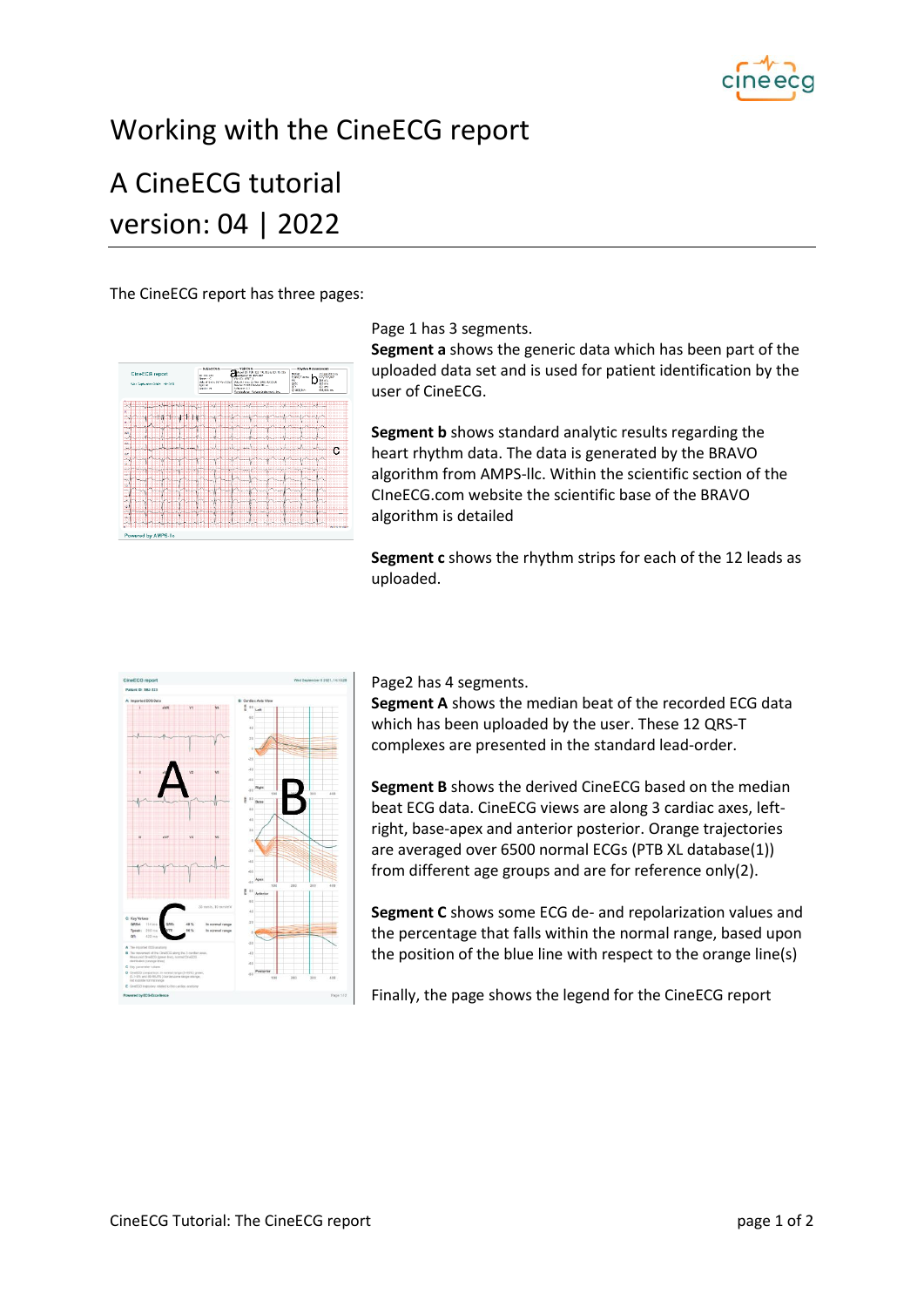

## Working with the CineECG report

## A CineECG tutorial version: 04 | 2022

The CineECG report has three pages:

| <b>CineECG</b> report<br>TAY: September 1,0001, 14-13-23 | Subject Buta -<br>$-$ while mosts<br>Macol 121 FUR: \$23 FTG, \$ 5.50 ED, TG COV<br>10.587123<br>welcolor 15: 192-807<br><b>Report</b><br>WE ID YEST 1<br>Data of districts May 2013 Data is firms 22 few 20th 00:20:00<br>ALL OF<br>Sevine 0.0111 Centre III: --<br>Schemm 61<br>Seedon M<br><b>Manufacturer: Medical Independent Pro-</b> | <b>Rivchen Moogaeceeres</b><br>101132<br>/3 lamit to mi<br><b>DOMEST HERE</b><br>535.725.927<br>PK.<br>165 or a<br><b>ISS</b> or a<br>gitte<br>ar-<br>431000<br>drawing.<br>00/40 m |
|----------------------------------------------------------|---------------------------------------------------------------------------------------------------------------------------------------------------------------------------------------------------------------------------------------------------------------------------------------------------------------------------------------------|-------------------------------------------------------------------------------------------------------------------------------------------------------------------------------------|
|                                                          |                                                                                                                                                                                                                                                                                                                                             |                                                                                                                                                                                     |
| ۰                                                        |                                                                                                                                                                                                                                                                                                                                             |                                                                                                                                                                                     |
| ш<br><b>STATE</b><br>۰                                   |                                                                                                                                                                                                                                                                                                                                             |                                                                                                                                                                                     |
| ъı<br><b>TN</b>                                          |                                                                                                                                                                                                                                                                                                                                             |                                                                                                                                                                                     |
| <b>Vo</b>                                                |                                                                                                                                                                                                                                                                                                                                             |                                                                                                                                                                                     |
| ×.                                                       |                                                                                                                                                                                                                                                                                                                                             | с                                                                                                                                                                                   |
| 1.54<br>×                                                |                                                                                                                                                                                                                                                                                                                                             |                                                                                                                                                                                     |
| m                                                        |                                                                                                                                                                                                                                                                                                                                             |                                                                                                                                                                                     |
| 57<br><b>SIL</b><br>٠                                    |                                                                                                                                                                                                                                                                                                                                             | <b>STATE</b>                                                                                                                                                                        |
| w<br><b>SIM</b>                                          |                                                                                                                                                                                                                                                                                                                                             | 22                                                                                                                                                                                  |
| <b>MAG</b><br>ы<br>ж                                     |                                                                                                                                                                                                                                                                                                                                             | w.                                                                                                                                                                                  |
| щ                                                        |                                                                                                                                                                                                                                                                                                                                             |                                                                                                                                                                                     |
| $\overline{\mathbf{3}}$<br><b>COL</b>                    | (111)<br><b>Linker</b>                                                                                                                                                                                                                                                                                                                      | straits.<br>m<br>۰                                                                                                                                                                  |
| ×.                                                       |                                                                                                                                                                                                                                                                                                                                             |                                                                                                                                                                                     |

Page 1 has 3 segments.

**Segment a** shows the generic data which has been part of the uploaded data set and is used for patient identification by the user of CineECG.

**Segment b** shows standard analytic results regarding the heart rhythm data. The data is generated by the BRAVO algorithm from AMPS-llc. Within the scientific section of the CIneECG.com website the scientific base of the BRAVO algorithm is detailed

**Segment c** shows the rhythm strips for each of the 12 leads as uploaded.



Page2 has 4 segments.

**Segment A** shows the median beat of the recorded ECG data which has been uploaded by the user. These 12 QRS-T complexes are presented in the standard lead-order.

**Segment B** shows the derived CineECG based on the median beat ECG data. CineECG views are along 3 cardiac axes, leftright, base-apex and anterior posterior. Orange trajectories are averaged over 6500 normal ECGs (PTB XL database(1)) from different age groups and are for reference only(2).

**Segment C** shows some ECG de- and repolarization values and the percentage that falls within the normal range, based upon the position of the blue line with respect to the orange line(s)

Finally, the page shows the legend for the CineECG report